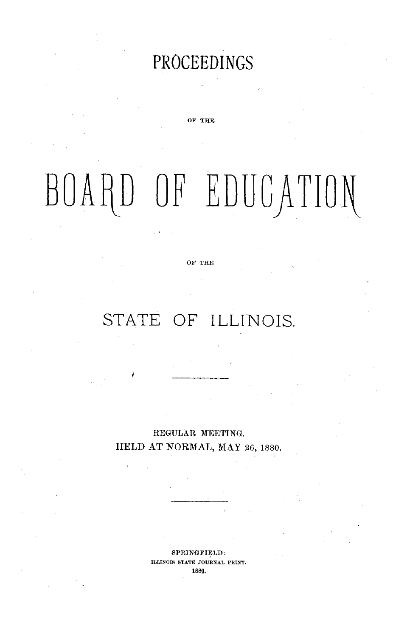# PROCEEDINGS

# **OF THE**

# BOARD OF EDUCATION

## OF THE

# STATE OF ILLINOIS.

REGULAR MEETING. **HELD AT NORMAL, MAY** 26, 1880.

> **SPRINGFIELD:** ILLINOIS **STATE JOURNAL PRINT.** 1880.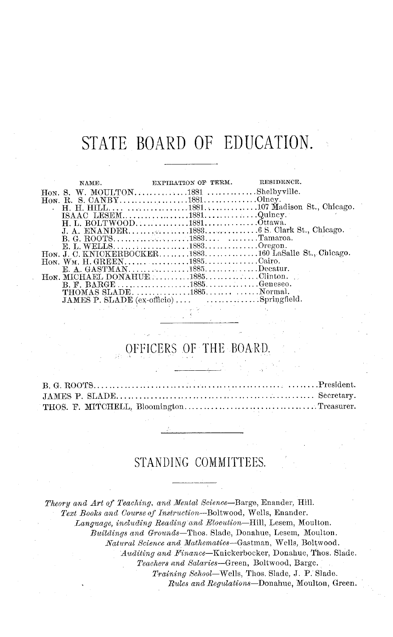# STATE BOARD OF EDUCATION.

| NAME.                                                                                        | EXPIRATION OF TERM. RESIDENCE. |                                                       |
|----------------------------------------------------------------------------------------------|--------------------------------|-------------------------------------------------------|
|                                                                                              |                                |                                                       |
|                                                                                              |                                |                                                       |
|                                                                                              |                                |                                                       |
|                                                                                              |                                |                                                       |
|                                                                                              |                                |                                                       |
|                                                                                              |                                |                                                       |
|                                                                                              |                                |                                                       |
|                                                                                              |                                |                                                       |
|                                                                                              |                                | Hon. J. C. KNICKERBOCKER1883160 LaSalle St., Chicago. |
| Hon. WM. H. GREEN1885Cairo.                                                                  |                                |                                                       |
|                                                                                              |                                |                                                       |
| Hon. MICHAEL DONAHUE1885Clinton.                                                             |                                |                                                       |
|                                                                                              |                                |                                                       |
| THOMAS SLADE1885Normal.                                                                      |                                |                                                       |
| <b>JAMES P. SLADE</b> $(ex\text{-}off\:)$ $\dots \dots \dots \dots \dots \dots$ Springfield. |                                |                                                       |

# ERS OF THE BOARD.

| THOS. F. MITCHELL, BloomingtonTreasurer. |  |
|------------------------------------------|--|

# STANDING COMMITTEES.

*Theory and Art of Teaching, and Mental Science-Barge,* Enander, Hill. *Text Books and Course of Instruction-Boltwood,* Wells, Enander. *Language, including Reading and Elocution-Hill,* Lesem, Moulton. *Buildings and Grounds-Thos.* Slade, Donahue, Lesem, Moulton. *Natural Science and Mathematics-Gastman,* Wells, Boltwood. *Auditing and* Finance-Knickerbocker, Donahue, Thos. Slade. *Teachers and Salaries-Green,* Boltwood, Barge. *Training School-Wells,* Thos. Slade, J. P. Slade.

*Rules and Regulations-Donahue,* Moulton, Green.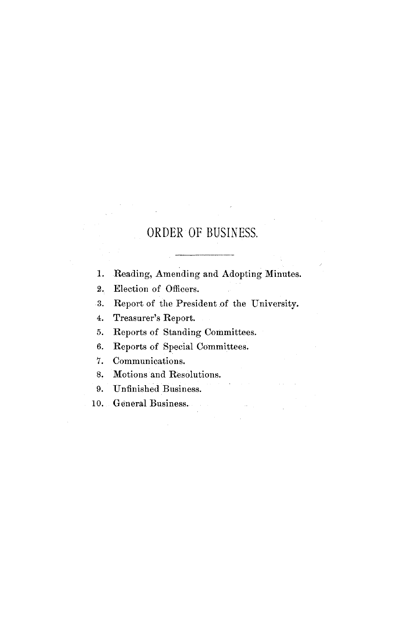# ORDER OF BUSINESS.

1. Reading, Amending and Adopting Minutes.

2. Election of Officers.

3. Report of the President of the University.

4. Treasurer's Report.

5. Reports of Standing Committees.

6. Reports of Special Committees.

7. Communications.

8. Motions and Resolutions.

9. Unfinished Business.

10. General Business.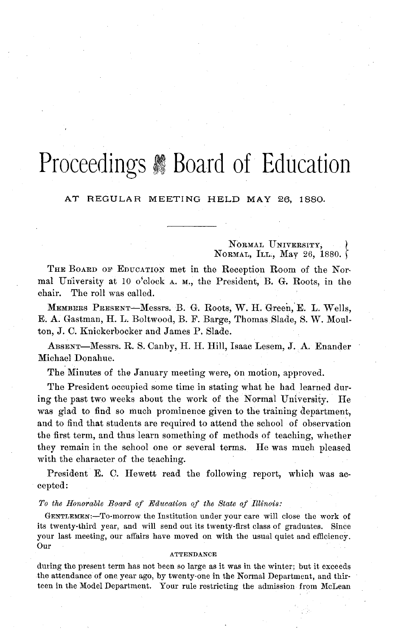# **Proceedings & Board of Education**

AT REGULAR MEETING HELD MAY 26, 1880.

NORMAL UNIVERSITY, **NORMAL, ILL.,** May 26, 1880.

THE BOARD OF EDUCATION met in the Reception Room of the Normal University at 10 o'clock A. M., the President, B. G. Roots, in the chair. The roll was called.

MEMBERS PRESENT-Messrs. B. G. Roots, W. H. Green, E. L. Wells, E. A. Gastman, H. L. Boltwood, B. F. Barge, Thomas Slade, S. W. Moulton, J. C. Knickerbocker and James P. Slade.

ABSENT-Messrs. R. S. Canby, H. H. Hill, Isaac Lesem, J. A. Enander Michael Donahue.

The Minutes of the January meeting were, on motion, approved.

The President occupied some time in stating what he had learned during the past two weeks about the work of the Normal University. He was glad to find so much prominence given to the training department, and to find that students are required to attend the school of observation the first term, and thus learn something of methods of teaching, whether they remain in the school one or several terms. He was much pleased with the character of the teaching.

President E. C. Hewett read the following report, which was accepted:

# *To the Honorable Board of Education of the State of Illinois:*

GENTLEMEN:-To-morrow the Institution under your care will close the work of its twenty-third year, and will send out its twenty-first class of graduates. Since your last meeting, our affairs have moved on with the usual quiet and efficiency. Our

#### **ATTENDANCE**

during the present term has not been so large as it was in the winter; but it exceeds the attendance of one year ago, by twenty-one in the Normal Department, and thirteen in the Model Department. Your rule restricting the admission from McLean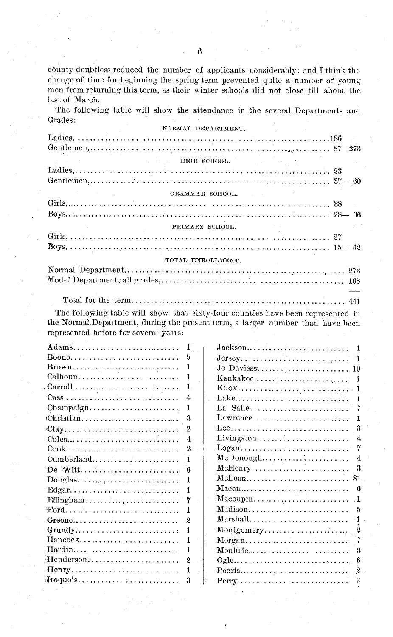county doubtless reduced the number of applicants considerably; and I think the change of time for beginning the spring term prevented quite a number of young men from returning this term, as their winter schools did not close till about the last of March.

The following table will show the attendance in the several Departments and Grades:

| NORMAL DEPARTMENT.  |  |
|---------------------|--|
|                     |  |
|                     |  |
| <b>EIGH SCHOOL.</b> |  |
|                     |  |
|                     |  |
| GRAMMAR SCHOOL.     |  |
|                     |  |
|                     |  |
| PRIMARY SCHOOL.     |  |
|                     |  |
|                     |  |
| TOTAL ENROLLMENT.   |  |
|                     |  |
|                     |  |
|                     |  |

The following table will show that sixty-four counties have been represented in the Normal Department, during the present term, a larger number than have been represented before for several years:

Total for the term ........................................................ 441

|                | $Jackson \ldots \ldots \ldots \ldots \ldots \ldots \ldots \ldots \ldots$ |                                                  |
|----------------|--------------------------------------------------------------------------|--------------------------------------------------|
| 5              |                                                                          | - 1                                              |
| 1              |                                                                          |                                                  |
| 1              |                                                                          | -1                                               |
| $\mathbf{1}$ . |                                                                          |                                                  |
| 4              |                                                                          |                                                  |
| 1              |                                                                          |                                                  |
| -3             | $Lawrence \ldots \ldots \ldots \ldots \ldots \ldots \ldots \ldots$       |                                                  |
| $^{2}$         |                                                                          | 3                                                |
| 4              | $Livingston \ldots \ldots \ldots \ldots \ldots$                          | 4                                                |
| 2              |                                                                          | 7                                                |
| 1              |                                                                          | $\cdot$ 4                                        |
| 6              | $McHenry \ldots \ldots \ldots \ldots \ldots \ldots \ldots$               | 3                                                |
|                |                                                                          |                                                  |
|                |                                                                          | 6                                                |
|                |                                                                          |                                                  |
| 1              | $\text{Madison.} \dots \dots \dots \dots \dots \dots \dots \dots$        | 5                                                |
| 2              | Marshall. $\ldots \ldots \ldots \ldots \ldots \ldots \ldots$             |                                                  |
| 1              |                                                                          | $\boldsymbol{2}$                                 |
|                |                                                                          | 7                                                |
|                |                                                                          | 3                                                |
| 2              |                                                                          | 6                                                |
| 1              | $Peoria \ldots \ldots \ldots \ldots \ldots \ldots \ldots$                | 2                                                |
| 3              | $Perry$                                                                  | B                                                |
|                |                                                                          | Lake<br>Macon<br>$\mathbb{R}$ Macoupin<br>Morgan |

 $\hat{\mathsf{h}}$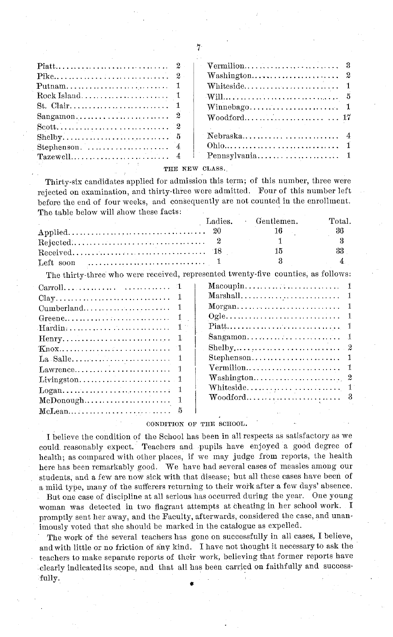| ${\rm Piatt.} \dots \dots \dots \dots \dots \dots \dots \dots \dots \dots \quad 2$ | $Vermilion \ldots \ldots \ldots \ldots \ldots \ldots 3$        |  |
|------------------------------------------------------------------------------------|----------------------------------------------------------------|--|
|                                                                                    |                                                                |  |
| $\text{Putnam.}\dots\dots\dots\dots\dots\dots\dots\quad\quad\quad 1$               |                                                                |  |
| $\rm{Rock~Island.}\dots\dots\dots\dots\dots\dots\dots\quad 1$                      |                                                                |  |
|                                                                                    |                                                                |  |
| $Sangamon. \ldots \ldots \ldots \ldots \ldots \ldots 2$                            | $Woodford \ldots \ldots \ldots \ldots \ldots \ldots \ldots 17$ |  |
|                                                                                    |                                                                |  |
|                                                                                    |                                                                |  |
|                                                                                    |                                                                |  |
| $Tazewell \ldots \ldots \ldots \ldots \ldots \ldots 4$                             |                                                                |  |

### **THE** NEW CLASS.

Thirty-six candidates applied for admission this term; of this number, three were rejected on examination, and thirty-three were admitted. Four of this number left before the end of four weeks, and consequently are not counted in the enrollment. The table below will show these facts:

|                                                                               | Ladies. Gentlemen. | Total. |
|-------------------------------------------------------------------------------|--------------------|--------|
|                                                                               |                    | 36     |
|                                                                               |                    |        |
|                                                                               | 15                 | 33     |
| Left soon $\dots\dots\dots\dots\dots\dots\dots\dots\dots\dots\dots\dots\dots$ |                    |        |

The thirty-three who were received, represented twenty-five counties, as follows:

|                                                                                        | $Macoupin, \ldots, \ldots, \ldots, \ldots, \ldots, 1$           |
|----------------------------------------------------------------------------------------|-----------------------------------------------------------------|
|                                                                                        |                                                                 |
| $Cumberland \ldots  \ldots  \ldots $                                                   |                                                                 |
|                                                                                        |                                                                 |
| $\mathrm{Hardin} \ldots \ldots \ldots \ldots \ldots \ldots \ldots \ldots \quad 1^{-1}$ |                                                                 |
| $\text{Henry} \dots \dots \dots \dots \dots \dots \dots \dots \dots \quad 1$           | $Sangamon \ldots \ldots \ldots \ldots \ldots \ldots \ldots 1$   |
|                                                                                        |                                                                 |
| La Salle, $\ldots, \ldots, \ldots, \ldots, \ldots, 1$                                  |                                                                 |
| $Lawrence \ldots \ldots \ldots \ldots \ldots \ldots \ldots 1$                          |                                                                 |
|                                                                                        | $W\text{ashington} \dots \dots \dots \dots \dots \dots \dots 2$ |
|                                                                                        |                                                                 |
|                                                                                        | $Woodford \ldots \ldots \ldots \ldots \ldots \ldots \quad 3$    |
|                                                                                        |                                                                 |

#### CONDITION **OF THE** SCHOOL.

I believe the condition of the School has been in all respects as satisfactory as we could\_ reasonably expect. Teachers and pupils have enjoyed a good degree of health; as compared with other places, if we may judge from reports, the health here has been remarkably good. We have had several cases of measles among our students, and a few are now sick with that disease; but all these cases have been of a mild type, many of the sufferers returning to their work after a few days' absence.

But one case of discipline at all serious has occurred during the year. One young woman was detected in two flagrant attempts at cheating in her school work. I promptly sent her away, and the Faculty, afterwards, considered the case, and unanimously voted that she should be marked in the catalogue as expelled.

The work of the several teachers has gone on successfully in all cases, I believe, and with little or no friction of any kind. I have not thought it necessary to ask the teachers to make separate reports of their work, believing that former reports have clearly indicatedits scope, and that all has been carried on faithfully and successfully.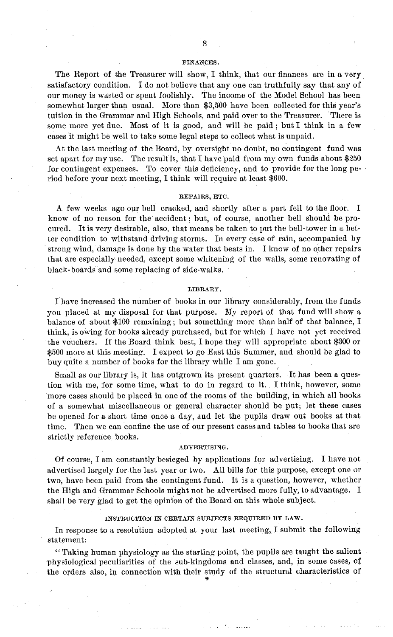## FINANCES.

The Report of the Treasurer will show, I think, that our finances are in a very satisfactory condition. I do not believe that any one can truthfully say that any of our money is wasted or spent foolishly. The income of the Model School has been somewhat larger than usual. More than \$3,500 have been collected for this year's tuition in the Grammar and High Schools, and paid over to the Treasurer. There is some more yet due. Most of it is good, and will be paid; but I think in a few cases it might be well to take some legal steps to collect what is unpaid.

At the last meeting of the Board, by oversight no doubt, no contingent fund was set apart for my use. The result is, that I have paid from my own funds about \$250 for contingent expenses. To cover this deficiency, and to provide for the long period before your next meeting, I think will require at least \$600.

# REPAIRS, ETC.

A few weeks ago our bell cracked, and shortly after a part fell to the floor. I know of no reason for the' accident; but, of course, another bell should be procured. It is very desirable, also, that means be taken to put the bell-tower in a better condition to withstand driving storms. In every case of rain, accompanied by strong wind, damage is done by the water that beats in. I know of no other repairs that are especially needed, except some whitening of the walls, some renovating of black-boards and some replacing of side-walks.

## LIBRARY.

I have increased the number of books in our library considerably, from the funds you placed at my disposal for that purpose. My report of that fund will show a balance of about \$100 remaining; but something more than half of that balance, I think, is owing for books already purchased, but for which I have not yet received the vouchers. If the Board think best, I hope they will appropriate about \$300 or \$500 more at this meeting. I expect to go East this Summer, and should be glad to buy quite a number of books for the library while I am gone.

Small as our library is, it has outgrown its present quarters. It has been a question with me, for some time, what to do in regard to it. I think, however, some more cases should be placed in one of the rooms of the building, in which all books of a somewhat miscellaneous or general character should be put; let these cases be opened for a short time once a day, and let the pupils draw out books at that time. Then we can confine the use of our present cases and tables to books that are strictly reference books.

#### ADVERTISING.

Of course, I am constantly besieged by applications for advertising. I have not advertised largely for the last year or two. All bills for this purpose, except one or two, have been paid from the contingent fund. It is a question, however, whether the High and Grammar Schools might not be advertised more fully, to advantage. I shall be very glad to get the opinion of the Board on this whole subject.

# INSTRUCTION IN CERTAIN SUBJECTS REQUIRED BY LAW.

In response to a resolution adopted at your last meeting, I submit the following statement:

"Taking human physiology as the starting point, the pupils are taught the salient physiological peculiarities of the sub-kingdoms and classes, and, in some cases, of the orders also, in connection with their study of the structural characteristics of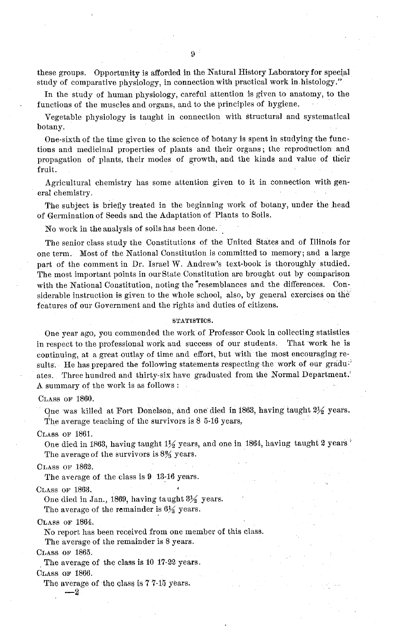these groups. Opportunity is afforded in the Natural History Laboratory for special study of comparative physiology, in connection with practical work in.histology."

In the study of human physiology, careful attention is given to anatomy, to the functions of the muscles and organs, and to the principles of hygiene.

Vegetable physiology is taught in connection with structural and systematical botany.

One-sixth of the time given to the science of botany is spent in studying the functions and medicinal properties of plants and their organs; the reproduction and propagation of plants, their modes of growth, and the kinds and value of their fruit.

Agricultural chemistry has some attention given to it in connection with general chemistry.

The subject is briefly treated in the beginning work of botany, under the head of Germination of Seeds and the Adaptation of Plants to Soils.

No work in the analysis of soils has been done.

The senior class study the Constitutions of the United States and of Illinois for one term. Most of the National Constitution is committed to memory; and a large part of the comment in Dr. Israel W. Andrew's text-book is thoroughly studied. The most important points in our State Constitution are brought out by comparison with the National Constitution, noting the "resemblances and the differences. Considerable instruction is given to the whole school, also, by general exercises on the features of our Government and the rights and duties of citizens.

## STATISTICS.

One year ago, you commended the work of Professor Cook in collecting statistics in respect to the professional work and success of our students. That work he is continuing, at a great outlay of time and effort, but with the most encouraging results. He has prepared the following statements respecting the work of our graduates. Three hundred and thirty-six have graduated from the Normal Department. A summary of the work is as follows:

CLASS OF 1860.

One was killed at Fort Donelson, and one died in 1863, having taught  $2\frac{1}{2}$  years. The average teaching of the survivors is 8 5-16 years,

CLASS OF 1861.

One died in 1863, having taught  $1\frac{1}{2}$  years, and one in 1864, having taught 2 years The average of the survivors is *8%* years.

CLASS OF 1862.

The average of the class is 9 13-16 years.

**CLASS** OF 1863.

One died in Jan., 1869, having taught  $3\frac{1}{2}$  years.

The average of the remainder is  $6\frac{1}{3}$  years.

CLASS OF 1864.

No report has been received from one member of this class. The average of the remainder is 8 years.

**CLASS** OF 1865.

The average of the class is 10 17-22 years.

CLASS **OF** 1866.

**-2**

The average of the class is  $77-15$  years.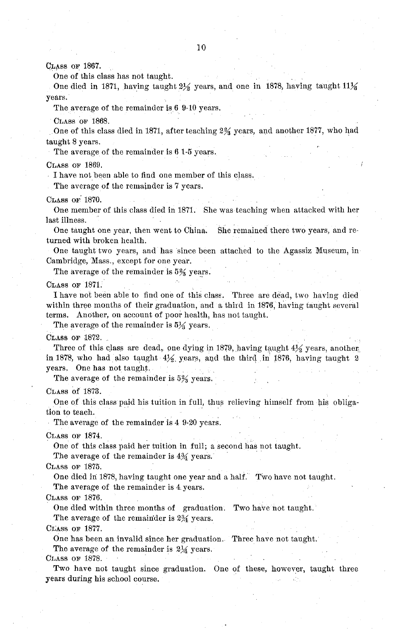CLASS OF 1867.

One of this class has not taught.

One died in 1871, having taught  $2\frac{1}{2}$  years, and one in 1878, having taught  $11\frac{1}{3}$ years.

The average of the remainder is 6 9-10 years.

CLASS OF 1868.

One of this class died in 1871, after teaching 2% years, and another 1877, who had taught 8 years.

The average of the remainder is 6 1-5 years.

CLASS OF 1869.

I have not been able to find one member of this class,

The average of the remainder is 7 years.

CLASS OF. 1870.

One member of this class died in 1871. She was teaching when attacked with her last illness.

One taught one year, then went to China. She remained there two years, and returned with broken health.

One taught two years, and has since been attached to the Agassiz Museum, in Cambridge, Mass., except for one year.

The average of the remainder is 5% years.

CLASS OF 1871.

I have not been able to find one of this class. Three are dead, two having died within three months of their graduation, and a third in 1876, having taught several terms. Another, on account of poor health, has not taught.

The average of the remainder is  $5\frac{1}{3}$  years.

CLASS OF 1872.

Three of this class are dead, one dying in 1879, having taught  $4\frac{1}{2}$  years, another in 1878, who had also taught  $4\frac{1}{2}$  years, and the third in 1876, having taught 2 years. One has not taught.

The average of the remainder is 5% years.

CLASS of 1873.

One of this class paid his tuition in full, thus relieving himself from his obligation to teach.

The average of the remainder is 4 9-20 years.

CLASS **OF** 1874.

One of this class paid her tuition in full; a second has not taught.

The average of the remainder is **44** years.

CLASS OF 1875.

One died in 1878, having taught one year and a half. Two have not taught.

The average of the remainder is 4 years.

CLASS OF 1876.

One died within three months of graduation. Two have not taught. The average of the remainder is 2% years.

CLASS OF 1877.

One has been an invalid since her graduation. Three have not taught.

The average of the remainder is  $2\frac{1}{4}$  years.

CLASS OF 1878.

Two have not taught since graduation. One of these, however, taught three years during his school course.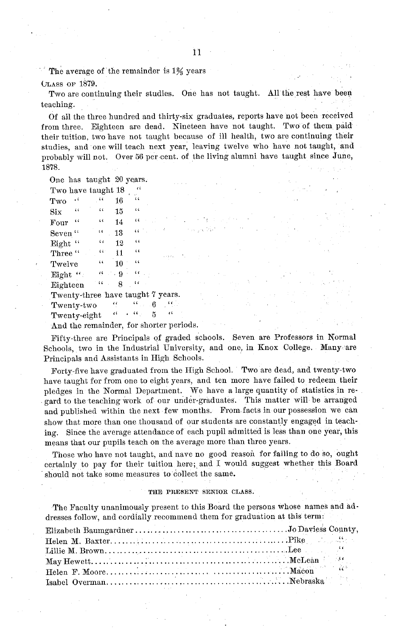The average of the remainder is  $1\%$  years

CLASS OF 1879.

Two are continuing their studies. One has not taught. All the rest have been teaching.

Of all the three hundred and thirty-six graduates, reports have not been received from three. Eighteen are dead. Nineteen have not taught. Two of them paid their tuition, two have not taught because of ill health, two are continuing their studies, and one will teach next year, leaving twelve who have not taught, and probably will not. Over 56 per cent. of the living alumni have taught since June, 1878.

| One has taught 20 years. |                      |         |                      |                                    |                                              |                                         |  |  |
|--------------------------|----------------------|---------|----------------------|------------------------------------|----------------------------------------------|-----------------------------------------|--|--|
| Two have taught 18       |                      |         |                      | 66                                 |                                              |                                         |  |  |
| Two                      | $\ddot{\phantom{1}}$ | 44      | 16                   | ι (                                |                                              |                                         |  |  |
| $\rm {Six}$              | $\leftarrow$         | 66      | 15                   | 44                                 |                                              |                                         |  |  |
| Four                     | $\sqrt{6}$           | 44      | 14                   | $\sqrt{2}$                         |                                              | site of the state of the state          |  |  |
| Seven"                   |                      | $\sim$  | 18                   | $\mathcal{C}\mathcal{C}^{(n)}$ .   |                                              | <b>Research Company Start Continued</b> |  |  |
| Eight "                  |                      | $\zeta$ | 12                   | 66                                 |                                              |                                         |  |  |
| Three "                  |                      | 66.5    | 11                   | $\left\langle \right\rangle$       |                                              |                                         |  |  |
| Twelve                   |                      | 44.     | 10                   | GG.                                |                                              |                                         |  |  |
| Eight ":                 |                      |         | $9 - 9$              | $\mathcal{M}_{\rm{max}}$           |                                              |                                         |  |  |
| Eighteen                 |                      | 66.     | 8.                   | $-66$                              |                                              |                                         |  |  |
|                          |                      |         |                      |                                    | Twenty-three have taught 7 years.            |                                         |  |  |
| Twenty-two               |                      |         | $\ddot{\phantom{0}}$ |                                    | $\mathbf{14} = \mathbf{6}$ , $\mathbf{14} =$ |                                         |  |  |
| Twenty-eight             |                      |         | "                    | $\mathcal{L} = \{L_{\text{max}}\}$ | 66<br>5                                      |                                         |  |  |
|                          |                      |         |                      |                                    | And the remainder, for shorter periods.      |                                         |  |  |

Fifty-three are Principals of graded schools. Seven are Professors in Normal Schools, two in the Industrial University, and one, in Knox College. Many are Principals and Assistants in High Schools.

Forty-five have graduated from the High School. Two are dead, and twenty-two have taught for from one to eight years, and ten more have failed to redeem their pledges in the Normal Department. We have a large quantity of statistics in regard to the teaching work of our under-graduates. This matter will be arranged and published within the next few months. From facts in our possession we can show that more than one thousand of our students are constantly engaged in teaching. Since the average attendance of each pupil admitted is less than one year, this means that our pupils teach on the average more than three years.

Those who have not taught, and nave no good reason for failing to do so, ought certainly to pay for their tuition here; and I would suggest whether this Board should not take some measures to collect the same.

## THE PRESENT SENIOR CLASS.

The Faculty unanimously present to this Board the persons whose names and addresses follow, and cordially recommend them for graduation at this term: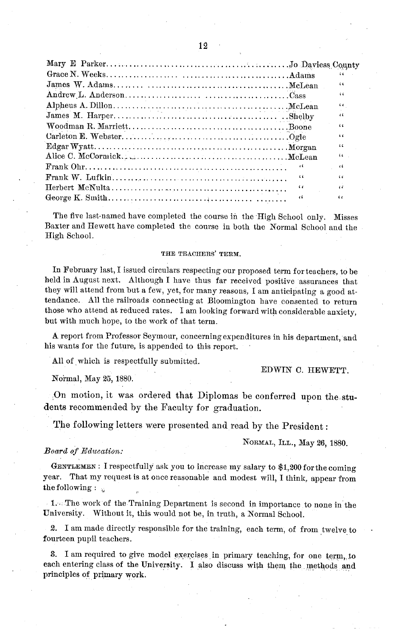Mary E Parker ............. ................................ Jo Daviess County Grace N .W eeks ................... ........................... Adams " James W. Adams ...................... ............... McLean " Andrew L. Anderson............... .. .... ................. Cass " Alpheus A. Dillon $\dots\dots\dots\dots\dots\dots\dots\dots\dots\dots\dots\dots\dots$ . McLean James M. Harper........... .. .. S...h........... Selby  $\alpha$ W oodman R. Marriett.......................... ............. Boone  $\alpha$ Carleton E. Webster......... ............................... Ogle  $\ddot{\phantom{a}}$ Edgar W yatt .................. . ............................ M organ  $\alpha$ Alice C. McCormick.................................... .. McLean " Frank Ohr...... .......... . .....  $\alpha$  $\epsilon$ Frank W . Lufkin..... .................................... .. κì i c Herbert McNulta . ...................................  $\epsilon$ ä George K . Smith .......................... .. "  $\alpha$ 

The five last-named have completed the course in the High School only. Misses Baxter and Hewett have completed the course in both the Normal School and the High School.

# THE TEACHERS' TERM.

In February last, I issued circulars respecting our proposed term for teachers, to be held in August next. Although I have thus far received positive assurances that they will attend from but a few, yet, for many reasons, I am anticipating a good attendance. All the railroads connecting at Bloomington have consented to return those who attend at reduced rates. I am looking forward with considerable anxiety, but with much hope, to the work of that term.

A report from Professor Seymour, concerning expenditures in his department, and his wants for the future, is appended to this report.

All of which is respectfully submitted.

## EDWIN C. HEWETT.

Normal, May 25, 1880.

On motion, it was ordered that Diplomas be conferred upon the students recommended by the Faculty for graduation.

The following letters were presented and read by the President:

NORMAL, ILL., May 26, 1880.

# *Board of Education:*

GENTLEMEN : I respectfully ask you to increase my salary to \$1,200 for the coming year. That my request is at once reasonable and modest will, I think, appear from the following:  $\frac{1}{2}$ 

1. :The work of the Training Department is second in importance to none in the University. Without it, this would not be, in truth, a Normal School.

2. I am made directly responsible for the training, each term, of from twelve to fourteen pupil teachers.

3. I am required to give model exercises in primary teaching, for one term,, to each entering class of the University. I also discuss with them the methods and principles of primary work.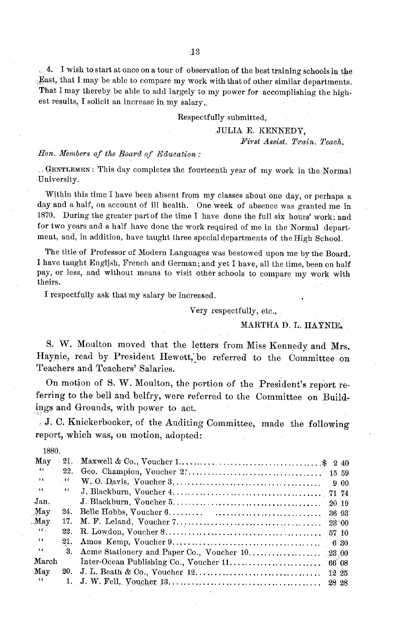4. I wish to start at once on a tour of observation of the best training schools in the East, that I may be able to compare my work with that of other similar departments. That I may thereby be able to add largely to my power for accomplishing the highest results, I solicit an increase in my salary.

# Respectfully submitted,

# JULIA E. KENNEDY,

*First Assist. Train. Teach.*

# *Hon. Members of the Board of Education:*

GENTLEMEN: This day completes the fourteenth year of my work in the Normal University.

Within this time I have been absent from my classes about one day, or perhaps a day and a half, on account of ill health. One week of absence was granted me in 1870. During the greater partof the time I have done the full six hours' work; and for two years and a half have done the work required of me in the Normal department, and, in addition, have taught three special departments of the High School.

The title of Professor of Modern Languages was bestowed upon me by the Board. I have taught English, French and German; and yet I have, all the time, been on half pay, or less, and without means to visit other schools to compare my work with theirs.

I respectfully ask that my salary be increased.

# Very respectfully, etc.,

# MARTHA D. L. HAYNIE.

S. W. Moulton moved that the letters from Miss Kennedy and Mrs. Hayhie, read by President Hewett,'be referred to the Committee on Teachers and Teachers' Salaries.

On motion of S. W. Moulton, the portion of the President's report referring to the bell and belfry, were referred to the Committee on Buildings and Grounds, with power to act.

J. C. Knickerbocker, of the Auditing Committee, made the following report, which was, on motion, adopted:

1880.

| May               |     |       |      |
|-------------------|-----|-------|------|
| $66 -$            | 22. |       |      |
| $\left\{ \right.$ |     |       | 900. |
| $\epsilon$        | 66  |       |      |
| Jan.              |     | 20 19 |      |
| May               | 24. | 36 93 |      |
| . May             | 17. | 23:00 |      |
| $-6.6$            | 22. |       |      |
| $\epsilon$        | 21. |       |      |
| $\epsilon$        | 8.  |       |      |
| March             |     |       |      |
| May               |     |       |      |
| $-0.6$            |     |       |      |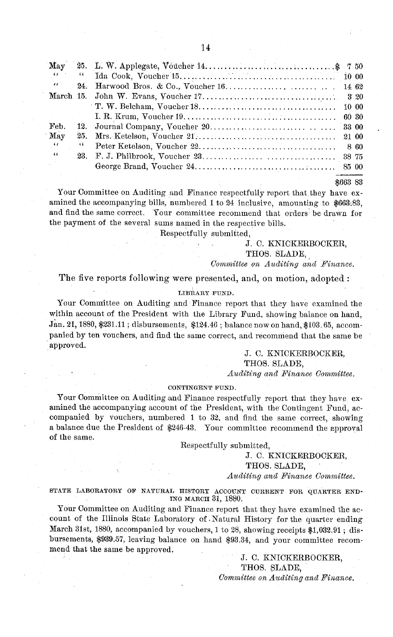| May                           |    |  |       |
|-------------------------------|----|--|-------|
| $\sim$ 6.6 $\sim$ 7.10 $\sim$ | "  |  |       |
| $\mathcal{L} \mathcal{L}$ .   |    |  |       |
|                               |    |  | 320   |
|                               |    |  | 10 00 |
|                               |    |  |       |
| Feb.                          |    |  |       |
| May                           |    |  | 21 00 |
| $-60$                         | 44 |  | 860   |
| $\sim$                        |    |  |       |
|                               |    |  |       |

\$663 83

Your Committee on Auditing and Finance respectfully report that they have examined the accompanying bills, numbered 1 to 24 inclusive, amounting to \$663.83, and find the same correct. Your committee recommend that orders: be drawn for the payment of the several sums named in the respective bills.

Respectfully submitted,

# J. C. KNICKERBOCKER, THOS. SLADE,

# *Committee on Auditing and Finance.*

# The five reports following were presented, and, on motion, adopted:

# LIBRARY **FUND.**

Your Committee on Auditing and Finance report that they have examined the within account of the President with the Library Fund, showing balance on hand, Jan. 21, 1880, \$231.11; disbursements, \$124.46 ; balance now on hand, \$103.65, accompanied by ten vouchers, and find the same correct, and recommend that the same be approved.

# J. C. KNICKERBOCKER,

# THOS. SLADE,

*Auditing and Finance Committee.*

# CONTINGENT FUND.

Your Committee on Auditing and Finance respectfully report that they have examined the accompanying account of the President, with the Contingent Fund, accompanied by vouchers, numbered 1 to 32. and find the same correct, showing a balance due the President of \$246-43. Your committee recommend the approval of the same.

Respectfully submitted,

J. C. KNICKERBOCKER, THOS. SLADE,

# *Auditing and Finance Committee.*

STATE LABORATORY OF NATURAL HISTORY ACCOUNT CURRENT **FOR QUARTER** END-**ING MARCH** 31, 1880.

Your Committee on Auditing and Finance report that they have examined the account of the Illinois State Laboratory of. Natural History for the quarter ending March 31st, 1880, accompanied by vouchers, 1 to 28, showing receipts \$1,032.91 ; disbursements, \$939.57, leaving balance on hand \$93.34, and your committee recommend that the same be approved.

J. C. KNICKERBOCKER, THOS. SLADE, *Committee on Auditing and Finance.*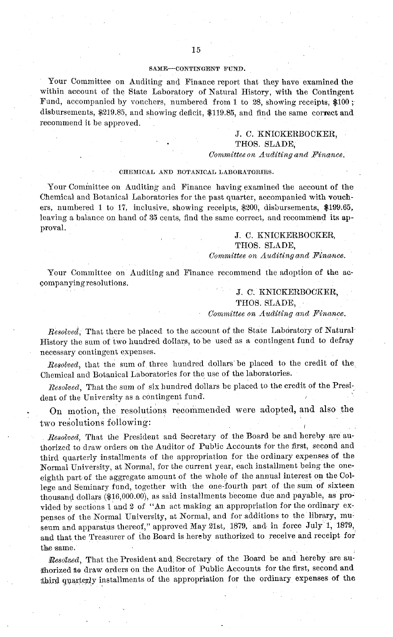## SAME-CONTINGENT FUND.

Your Committee on Auditing and Finance report that they have examined the within account of the State Laboratory of Natural History, with the Contingent Fund, accompanied by vouchers, numbered from 1 to 28, showing receipts,  $$100$ ; disbursements, \$219.85, and showing deficit, \$119.85, and find the same correct and recommend it be approved.

# J. C. KNICKERBOCKER, THOS. SLADE,

# *Committee on Auditing and Finance.*

# CHEMICAL AND BOTANICAL LABORATORIES.

Your Committee on Auditing and Finance having examined the account of the Chemical and Botanical Laboratories for the past quarter, accompanied with vouchers, numbered 1 to 17, inclusive, showing receipts, \$200, disbursements, \$199.65, leaving a balance on hand of 35 cents, find the same correct, and recommend its approval.

# J. C. KNICKERBOCKER,

THOS. SLADE,

# *Committee on Auditing and Finance.*

Your Committee on Auditing and Finance recommend the adoption of the accompanying resolutions.

# J. C. KNICKERBOCKER,

THOS. SLADE,

# *Committee on Auditing and Finance.*

*Resolved,* That there be placed to the account of the State Laboratory of Natural History the sum of two hundred dollars, to be used as a contingent fund to defray necessary contingent expenses.

*Resolved,* that the sum of three hundred dollars be placed to the credit of the Chemical and Botanical Laboratories for the use of the laboratories.

*Resolved,* That the sum of six hundred dollars be placed to the credit of the President of the University as a contingent fund.

On motion, the resolutions recommended were adopted, and also the two resolutions following:

*Resolved,* That the President and Secretary of the Board be and hereby are authorized to draw orders on the Auditor of Public Accounts for the first, second and third quarterly installments of the appropriation for the ordinary expenses of the Normal University, at Normal, for the current year, each installment being the oneeighth part of the aggregate amount of the whole of the annual interest on the College and Seminary fund, together with the one-fourth part of the sum of sixteen thousand dollars (\$16,000.00), as said installments become due and payable, as provided by sections 1 and 2 of "An act making an appropriation for the ordinary expenses of the Normal University, at Normal, and for additions to the library, museum and apparatus thereof," approved May 21st, 1879, and in force July 1, 1879, and that the Treasurer of the Board is hereby authorized to receive and receipt for the same.

*Besolved,* That the President and Secretary of the Board be and hereby are authorized to draw orders on the Auditor of Public Accounts for the first, second and third quarterly installments of the appropriation for the ordinary expenses of the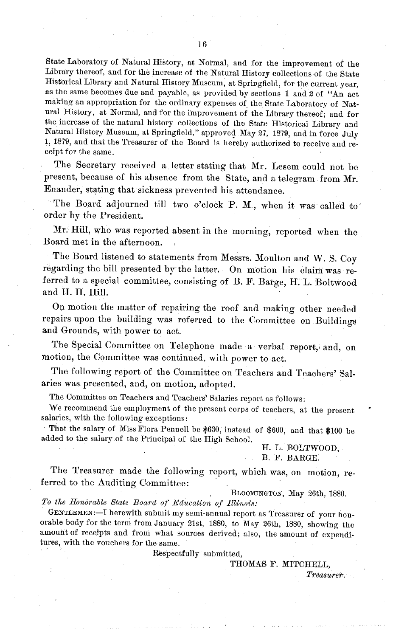State Laboratory of Natural History, at Normal, and for the improvement of the Library thereof, and for the increase of the Natural History collections of the State as the same becomes due and payable, as provided by sections 1 and 2 of "An act making an appropriation for the ordinary expenses of the State Laboratory of Natural History, at Normal, and for the improvement of the Library thereof; and for the increase of the natural history collections of the State Historical Library and<br>Natural History Museum, at Springfield," approved May 27, 1879, and in force July 1, 1879, and that the Treasurer of the Board is hereby authorized to receive and receipt for the same.

The Secretary received a letter stating that Mr. Lesem could not be present, because of his absence from the State, and a telegram from Mr. Enander, stating that sickness prevented his attendance.

The Board adjourned till two o'clock P. M., when it was called to order by the President.

Mr. Hill, who was reported absent in the morning, reported when the Board met in the afternoon.

The Board listened to statements from Messrs. Moulton and W. S. Coy regarding the bill presented by the latter. On motion his claim was referred to a special committee, consisting of B. F. Barge, H. L. Boltwood and H. H. Hill.

On motion the matter of repairing the roof and making other needed repairs upon the building was referred to the Committee on Buildings and Grounds, with power to act.

The Special Committee on Telephone made a verbal report, and, on motion, the Committee was continued, with power to act.

The following report of the Committee on Teachers and Teachers' Salaries was presented, and, on motion, adopted.

The Committee on Teachers and Teachers' Salaries report as follows:

We recommend the employment of the present corps of teachers, at the present salaries, with the following exceptions:

That the salary of Miss Flora Pennell be \$630, instead of \$600, and that \$100 be added to the salary.of the Principal of the High School.

H. L. BOLTWOOD,

B. F. BARGE.

The Treasurer made the following report, which was, on motion, referred to the Auditing Committee:

BLOOMINGTON, May 26th, 1880.

*To the Honorable State Board of Education of Illinois:*

GENTLEMEN:-I herewith submit my semi-annual report as Treasurer of your honorable body for the term from January 21st, 1880, to May 26th, 1880, showing the amount of receipts and from what sources derived; also, the amount of expenditures, with the vouchers for the same.

Respectfully submitted,

THOMAS F. MITCHELL,

*Treasurer.*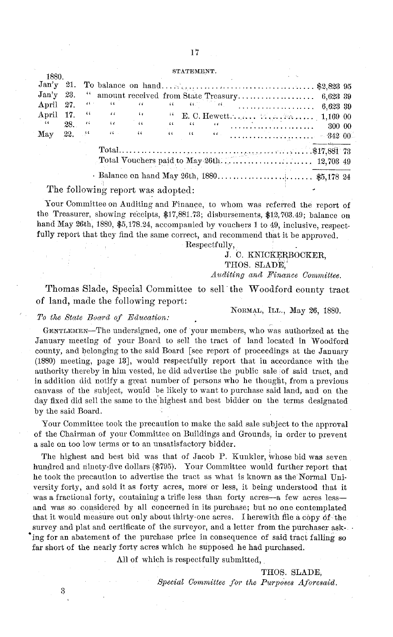# 17

#### STATEMENT.

| 1880.      |  |                                                                                                                                                                                                                                                                                                                                                                                               |  |  |  |  |  |
|------------|--|-----------------------------------------------------------------------------------------------------------------------------------------------------------------------------------------------------------------------------------------------------------------------------------------------------------------------------------------------------------------------------------------------|--|--|--|--|--|
|            |  |                                                                                                                                                                                                                                                                                                                                                                                               |  |  |  |  |  |
|            |  |                                                                                                                                                                                                                                                                                                                                                                                               |  |  |  |  |  |
|            |  | April 27. $a = a = a = a = a = \frac{a}{2} = \frac{a}{2} = \frac{a}{2} = \frac{a}{2} = \frac{a}{2} = \frac{a}{2} = \frac{a}{2} = \frac{a}{2} = \frac{a}{2} = \frac{a}{2} = \frac{a}{2} = \frac{a}{2} = \frac{a}{2} = \frac{a}{2} = \frac{a}{2} = \frac{a}{2} = \frac{a}{2} = \frac{a}{2} = \frac{a}{2} = \frac{a}{2} = \frac{a}{2} = \frac{a}{2} = \frac{a}{2} = \frac{a}{2} = \frac{a}{2} =$ |  |  |  |  |  |
|            |  | April 17. " " " E. C. Hewett M. Marshall, 1,169 00                                                                                                                                                                                                                                                                                                                                            |  |  |  |  |  |
| $\sim 0.0$ |  | $28.$ $\frac{1}{28}$ $\frac{1}{28}$ $\frac{1}{28}$ $\frac{1}{28}$ $\frac{1}{28}$ $\frac{1}{28}$ $\frac{1}{28}$ $\frac{1}{28}$ $\frac{1}{28}$ $\frac{1}{28}$ $\frac{1}{28}$ $\frac{1}{28}$ $\frac{1}{28}$ $\frac{1}{28}$ $\frac{1}{28}$ $\frac{1}{28}$ $\frac{1}{28}$ $\frac{1}{28}$ $\frac{1}{28}$ $\frac{1}{$                                                                                |  |  |  |  |  |
|            |  |                                                                                                                                                                                                                                                                                                                                                                                               |  |  |  |  |  |
|            |  |                                                                                                                                                                                                                                                                                                                                                                                               |  |  |  |  |  |
|            |  |                                                                                                                                                                                                                                                                                                                                                                                               |  |  |  |  |  |

Balance on hand May 26th, 1880 ........................ \$5,178 24

# The following report was adopted:

Your Committee on Auditing and Finance, to whom was referred the report of the Treasurer, showing receipts, \$17,881.73; disbursements, \$12,703.49; balance on hand May 26th, 1880, \$5,178.24, accompanied by vouchers 1 to 49, inclusive, respectfully report that they find the same correct, and recommend that it be approved.

Respectfully,

# J. C. KNICKERBOCKER,

# THOS. SLADE.

# *Auditing and Finance Committee.*

Thomas Slade, Special Committee to sell the Woodford county tract of land, made the following report:

# *To the State Board of Education:*

NORMAL, ILL., May 26, 1880.

GENTLEMEN-The undersigned, one of your members, who was authorized at the January meeting of your Board to sell the tract of land located in Woodford county, and belonging to the said Board [see report of proceedings at the January (1880) meeting, page 13], would respectfully report that in accordance with the authority thereby in him vested, he did advertise the public sale of said tract, and in addition did notify a great number of persons who he thought, from a previous canvass of the subject, would be likely to want to purchase said land, and on the day fixed did sell the same to the highest and best bidder on the terms designated by the said Board.

Your Committee took the precaution to make the said sale subject to the approval of the Chairman of your Committee on Buildings and Grounds, in order to prevent a sale on too low terms or to an unsatisfactory bidder.

The highest and best bid was that of Jacob P. Kunkler, whose bid was seven hundred and ninety-five dollars (\$795). Your Committee would further report that he took the precaution to advertise the tract as what is known as the Normal University forty, and sold it as forty acres, more' or less, it being understood that it was a fractional forty, containing a trifle less than forty acres-a few acres lessand was so considered by all concerned in its purchase; but no one contemplated that it would measure out only about thirty-one acres. I herewith file a copy df the survey and plat and certificate of the surveyor, and a letter from the purchaser ask-. ing for an abatement of the purchase price in consequence of said tract falling so far short of the nearly forty acres which he supposed he had purchased.

All of which is respectfully submitted,

THOS. SLADE,

*Special Committee for the Purposes Aforesaid.*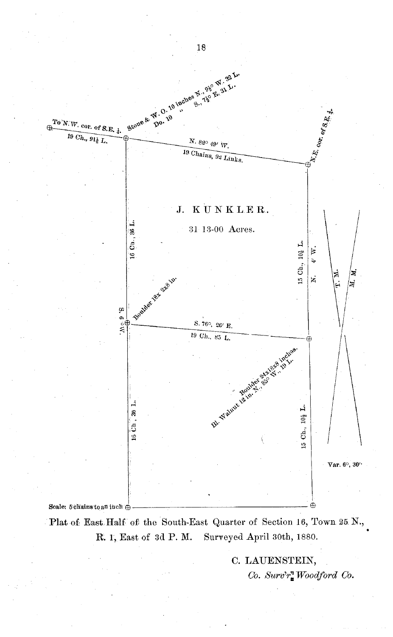

Plat of East Half of the South-East Quarter of Section 16, Town 25. N., R. 1, East of 3d P. M. Surveyed April 30th, 1880.

C. LAUENSTEIN,

*Co. Surv'r Woodford Co.*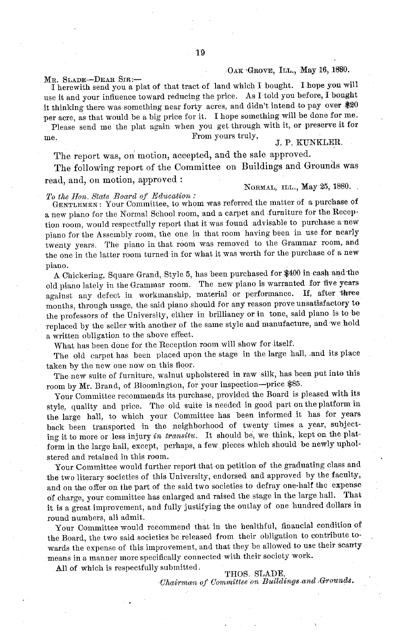# OAK GROVE, ILL., May 16, 1880.

I herewith send you a plat of that tract of land which I bought. I hope you will use it and your influence toward reducing the price. As I told you before, I bought it thinking there was something near forty acres, and didn't intend to pay over \$20 per acre, as that would be a big price for it. I hope something will be done for me.

Please send me the plat again when you get through with it, or preserve it for me. From yours truly, From J. P. KUNKLER.

The report was, on motion, accepted, and the sale approved.

The following report of the Committee on Buildings and Grounds was read, and, on motion, approved: NORMAL, ILL., May 25, 1880.

# *To the Hon. State Board of Education:*

GENTLEMEN: Your Committee, to whom was referred the matter of a purchase of a new piano for the Normal School room, and a carpet and furniture for the Reception room, would respectfully report that it was found advisable to purchase a new piano for the Assembly room, the one in that room having been in use for nearly twenty years. The piano in that room was removed to the Grammar room, and the one in the latter room turned in for what it was worth for the purchase of a new

piano. A Chickering, Square Grand, Style 5, has been purchased for '\$400 in cash and the old piano lately in the Grammar room. The new piano is warranted for five years against any defect in workmanship, material or performance. If, after 'three months, through usage, the said piano should for any reason prove unsatisfactory to the professors of the University, either in brilliancy or in tone, said piano is to be replaced by the seller with another of the same style and manufacture, and we hold a written obligation to the above effect.

What has been done for the Reception room will show for itself.

The old carpet has been placed upon the stage in the large hall, .and its place taken by the new one now on this floor.

The new suite of furniture, walnut upholstered in raw silk, has been put into this room by Mr. Brand, of Bloomington, for your inspection-price \$85.

Your Committee recommends its purchase, provided the Board is pleased with its style, quality and price. The old suite is needed in good part on the platform in the large hall, to which your Committee has been informed it has for years back been transported in the neighborhood of twenty times a year, subjecting it to more or less injury *in transitu.* It should be, we think, kept on the platform in the large hall, except, perhaps, a few pieces which should be newly upholstered and retained in this room.

Your Committee would further report that on petition of the graduating class and the two literary societies of this University, endorsed and approved by the faculty, and on the offer on the part of the said two societies to defray one-half the expense of charge, your committee has enlarged and raised the stage in the large hall. That it is a great improvement, and fully justifying the outlay of one hundred dollars in round numbers, all admit.

Your Committee would recommend that in the healthful, financial condition of the Board, the two said societies be released from their obligation to contribute towards the expense of this improvement, and that they be allowed to use their scanty means in a manner more specifically connected with their society work.

All of which is respectfully submitted. THOS. SLADE,

 $\emph{Chairman of Committee on Buildings and \emph{Grounds}.}$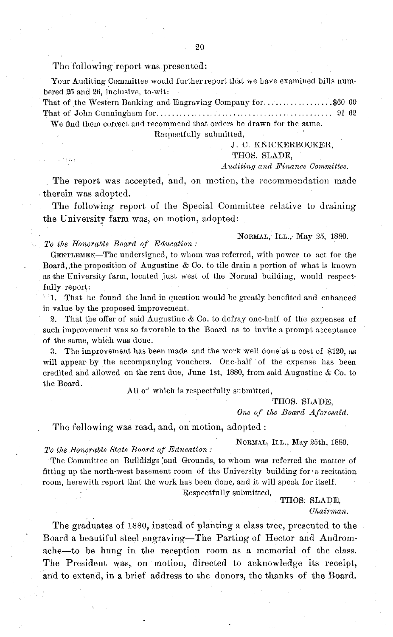# The following report was presented:

Your Auditing Committee would further report that we have examined bills numbered 25 and 26, inclusive, to-wit:

That of the Western Banking and Engraving Company for..................\$60 00 That of John Cunningham for........... .... ............................. 91 62

We find them correct and recommend that orders be drawn for the same.

Respectfully submitted,

J. C. KNICKERBOCKER,

# **THOS. SLADE,**

# *Auditing and Finance Conmnittee.*

The report was accepted, and, on motion, the recommendation made therein was adopted.

The following report of the Special Committee relative to draining the University farm was, on motion, adopted:

# NORMAL, ILL., May 25, 1880.

*To the Honorable Board of Education:*

Ъ'n.

GENTLEMEN-The undersigned, to whom was referred, with power to act for the Board, the proposition of Augustine  $\&$  Co. to tile drain a portion of what is known as the University farm, located just west of the Normal building, would respectfully report:

1. That he found the land in question would be greatly benefited and enhanced in value by the proposed improvement.

2. That the offer of said Augustine & Co. to defray one-half of the expenses of such improvement was so favorable to the Board as to invite a prompt acceptance of the same, which was done.

3. The improvement has been made and the work well done at a cost of \$120, as will appear by the accompanying vouchers. One-half of the expense has been credited and allowed on the rent due, June 1st, 1880, from said Augustine & Co. to the Board.

All of which is respectfully submitted,

#### THOS. SLADE,

*One of the Board Aforesaid.*

# The following was read, and, on motion, adopted:

NORMAL, ILL., May 25th, 1880.

*To the Honorable State Board of Education:*

The Committee on Buildings and Grounds, to whom was referred the matter of fitting up the north-west basement room of the University building for a recitation room, herewith report that the work has been done, and it will speak for itself.

Respectfully submitted,

THOS. SLADE, *Chairman.*

The graduates of 1880, instead of planting a class tree, presented to the Board a beautiful steel engraving-The Parting of Hector and Andromache-to be hung in the reception room as a memorial of the class. The President was, on motion, directed to acknowledge its receipt, and to extend, in a brief address to the donors, the thanks of the Board.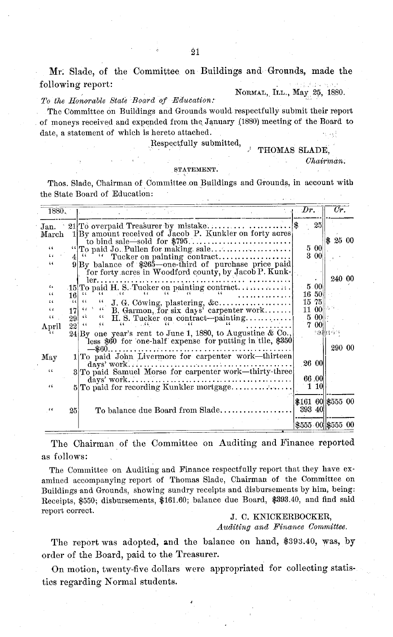Mr. Slade, of the Committee on Buildings and Grounds, made the following report: NORMAL, **ILL.,** May 25, 1880.

*To the Honorable State Board of .Education:*

The Committee on Buildings and Grounds would respectfully submit their report of moneys received and expended from the, January (1880) meeting of the Board to date, a statement of which is hereto attached.

Respectfully submitted,

' THOMAS SLADE,

*Chairman.*

STATEMENT.

Thos. Slade, Chairman of Committee on Buildings and Grounds, in account with the State Board of Education:

| <b>1880.</b>                                    |                   |                                                                                                                                                                                                                                                                                       | Dr.    |                                 | $\overline{\mathit{Or}}.$                |        |
|-------------------------------------------------|-------------------|---------------------------------------------------------------------------------------------------------------------------------------------------------------------------------------------------------------------------------------------------------------------------------------|--------|---------------------------------|------------------------------------------|--------|
| Jan.<br>March<br>$\epsilon$<br>$\epsilon$<br>44 |                   | 21 To overpaid Treasurer by mistake<br>1 <sup>By</sup> amount received of Jacob P. Kunkler on forty acres<br>"To paid Jo. Pullen for making. sale<br>Tucker on painting contract<br>$9 {\rm By}$ balance of \$265—one-third of purchase price paid                                    | 18     | 25<br>5 00<br>3 00              | 186                                      | 25 00  |
| $\epsilon$<br>$\epsilon$<br>66<br>$\epsilon$    | 16<br>$-66$<br>17 | for forty acres in Woodford county, by Jacob P. Kunk-<br>$ler. \ldots$<br>15 To paid H. S. Tucker on painting contract<br>. . <b>.</b><br>$\sqrt{6}$<br>J. G. Cowing, plastering, $\&c$<br>$\mathcal{L}$ $\mathcal{L}$ $\mathcal{L}$ B. Garmon, for six days' carpenter work          |        | 5.00<br>16 50<br>15 75<br>11 00 |                                          | 240 00 |
| $\left\{ \right.$<br>April                      |                   | $291$ $\cdots$<br>66<br>H. S. Tucker on contract—painting<br>$22$ $\degree$<br>$\epsilon$<br>24 By one year's rent to June 1, 1880, to Augustine & Co.,<br>less \$60 for one-half expense for putting in tile, \$350<br>-\$60<br>1 To paid John Livermore for carpenter work-thirteen |        | 5 00<br>7 00                    | その泥は与づ                                   | 290 00 |
| May<br>$\left($<br>66                           |                   | 3 To paid Samuel Morse for carpenter work-thirty-three<br>$5/T0$ paid for recording Kunkler mortgage                                                                                                                                                                                  |        | 26 00<br>66.00<br>110           |                                          |        |
| $\epsilon$ $\epsilon$                           | 25 <sub>1</sub>   | To balance due Board from Slade                                                                                                                                                                                                                                                       | 393 40 |                                 | \$161 60 \$555 00<br> \$555 00  \$555 00 |        |

The Chairman of the Committee on Auditing and Finance reported as follows:

The Committee on Auditing and Finance respectfully report that they have examined accompanying report of Thomas Slade, Chairman of the Committee on Buildings and Grounds, showing sundry receipts and disbursements by him, being: Receipts, \$550; disbursements, \$161.60; balance due Board, \$393.40, and find said report correct.

J. C. KNICKERBOCKER,

*Auditing and Finance Committee.*

The report was adopted, and the balance on hand, \$393.40, was, by order of the Board, paid to the Treasurer.

On motion, twenty-five dollars were appropriated for collecting statistics regarding Normal students.